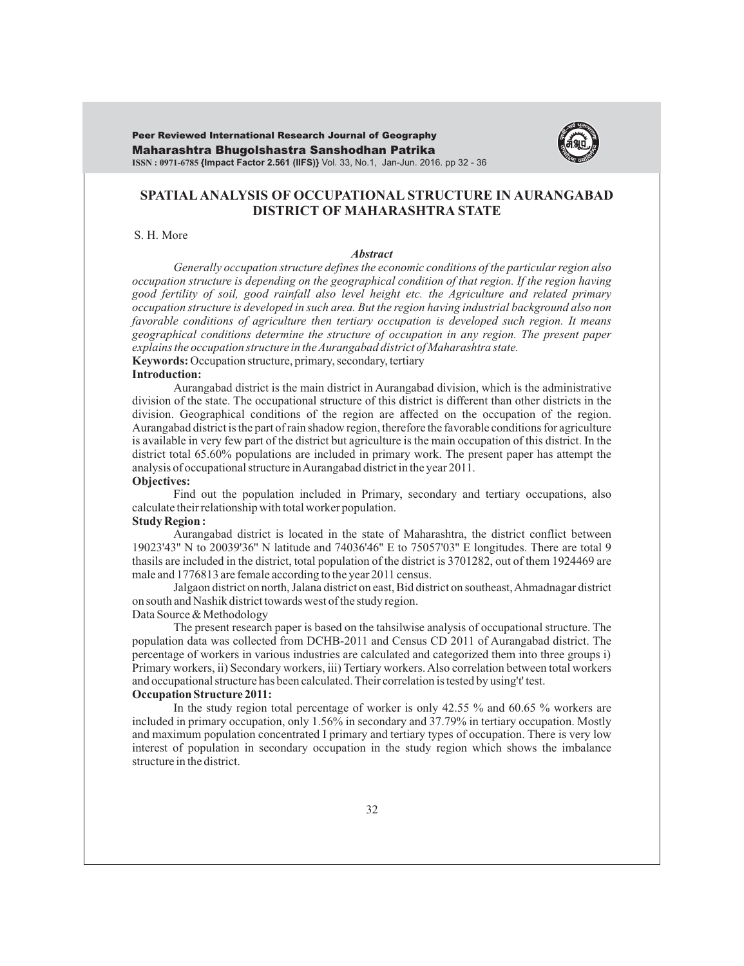Maharashtra Bhugolshastra Sanshodhan Patrika **ISSN : 0971-6785 {Impact Factor 2.561 (IIFS)}** Vol. 33, No.1, Jan-Jun. 2016. pp 32 - 36 Peer Reviewed International Research Journal of Geography



# **SPATIALANALYSIS OF OCCUPATIONAL STRUCTURE IN AURANGABAD DISTRICT OF MAHARASHTRA STATE**

S. H. More

#### *Abstract*

*Generally occupation structure defines the economic conditions of the particular region also occupation structure is depending on the geographical condition of that region. If the region having good fertility of soil, good rainfall also level height etc. the Agriculture and related primary occupation structure is developed in such area. But the region having industrial background also non favorable conditions of agriculture then tertiary occupation is developed such region. It means geographical conditions determine the structure of occupation in any region. The present paper explains the occupation structure in the Aurangabad district of Maharashtra state.*

**Keywords:** Occupation structure, primary, secondary, tertiary

# **Introduction:**

Aurangabad district is the main district in Aurangabad division, which is the administrative division of the state. The occupational structure of this district is different than other districts in the division. Geographical conditions of the region are affected on the occupation of the region. Aurangabad district is the part of rain shadow region, therefore the favorable conditions for agriculture is available in very few part of the district but agriculture is the main occupation of this district. In the district total 65.60% populations are included in primary work. The present paper has attempt the analysis of occupational structure in Aurangabad district in the year 2011.

### **Objectives:**

Find out the population included in Primary, secondary and tertiary occupations, also calculate their relationship with total worker population.

### **Study Region :**

Aurangabad district is located in the state of Maharashtra, the district conflict between 19023'43'' N to 20039'36'' N latitude and 74036'46'' E to 75057'03'' E longitudes. There are total 9 thasils are included in the district, total population of the district is 3701282, out of them 1924469 are male and 1776813 are female according to the year 2011 census.

Jalgaon district on north, Jalana district on east, Bid district on southeast, Ahmadnagar district on south and Nashik district towards west of the study region.

### Data Source & Methodology

The present research paper is based on the tahsilwise analysis of occupational structure. The population data was collected from DCHB-2011 and Census CD 2011 of Aurangabad district. The percentage of workers in various industries are calculated and categorized them into three groups i) Primary workers, ii) Secondary workers, iii) Tertiary workers. Also correlation between total workers and occupational structure has been calculated. Their correlation is tested by using't' test.

#### **Occupation Structure 2011:**

In the study region total percentage of worker is only 42.55 % and 60.65 % workers are included in primary occupation, only 1.56% in secondary and 37.79% in tertiary occupation. Mostly and maximum population concentrated I primary and tertiary types of occupation. There is very low interest of population in secondary occupation in the study region which shows the imbalance structure in the district.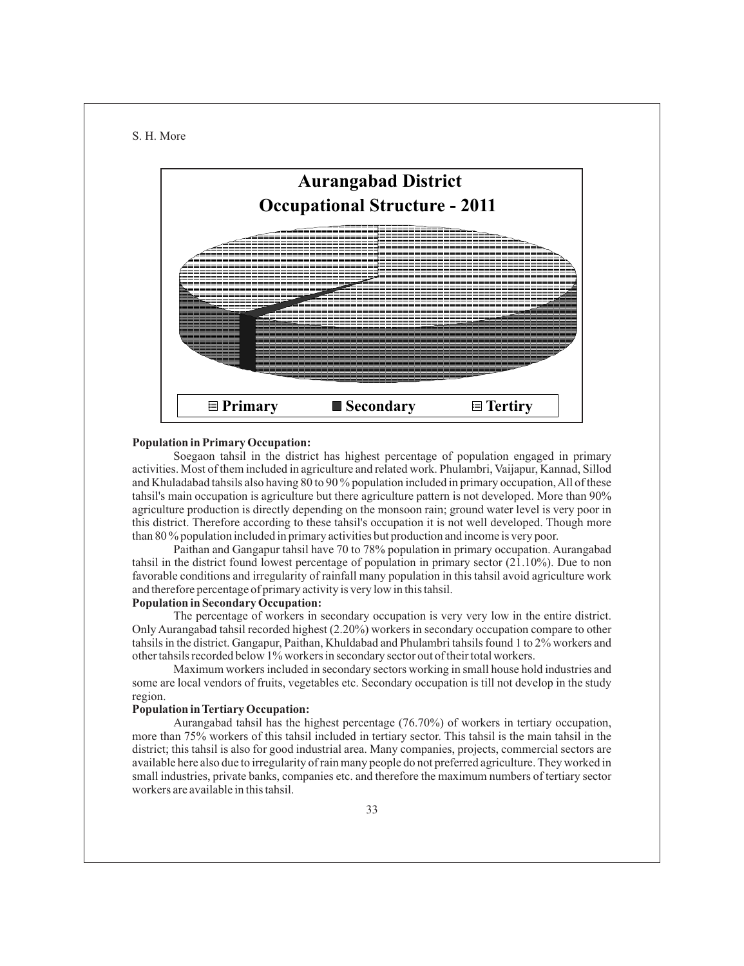#### S. H. More



## **Population in Primary Occupation:**

Soegaon tahsil in the district has highest percentage of population engaged in primary activities. Most of them included in agriculture and related work. Phulambri, Vaijapur, Kannad, Sillod and Khuladabad tahsils also having 80 to 90 % population included in primary occupation, All of these tahsil's main occupation is agriculture but there agriculture pattern is not developed. More than 90% agriculture production is directly depending on the monsoon rain; ground water level is very poor in this district. Therefore according to these tahsil's occupation it is not well developed. Though more than 80 % population included in primary activities but production and income is very poor.

Paithan and Gangapur tahsil have 70 to 78% population in primary occupation. Aurangabad tahsil in the district found lowest percentage of population in primary sector (21.10%). Due to non favorable conditions and irregularity of rainfall many population in this tahsil avoid agriculture work and therefore percentage of primary activity is very low in this tahsil.

# **Population in Secondary Occupation:**

The percentage of workers in secondary occupation is very very low in the entire district. Only Aurangabad tahsil recorded highest (2.20%) workers in secondary occupation compare to other tahsils in the district. Gangapur, Paithan, Khuldabad and Phulambri tahsils found 1 to 2% workers and other tahsils recorded below 1% workers in secondary sector out of their total workers.

Maximum workers included in secondary sectors working in small house hold industries and some are local vendors of fruits, vegetables etc. Secondary occupation is till not develop in the study region.

## **Population in Tertiary Occupation:**

Aurangabad tahsil has the highest percentage (76.70%) of workers in tertiary occupation, more than 75% workers of this tahsil included in tertiary sector. This tahsil is the main tahsil in the district; this tahsil is also for good industrial area. Many companies, projects, commercial sectors are available here also due to irregularity of rain many people do not preferred agriculture. They worked in small industries, private banks, companies etc. and therefore the maximum numbers of tertiary sector workers are available in this tahsil.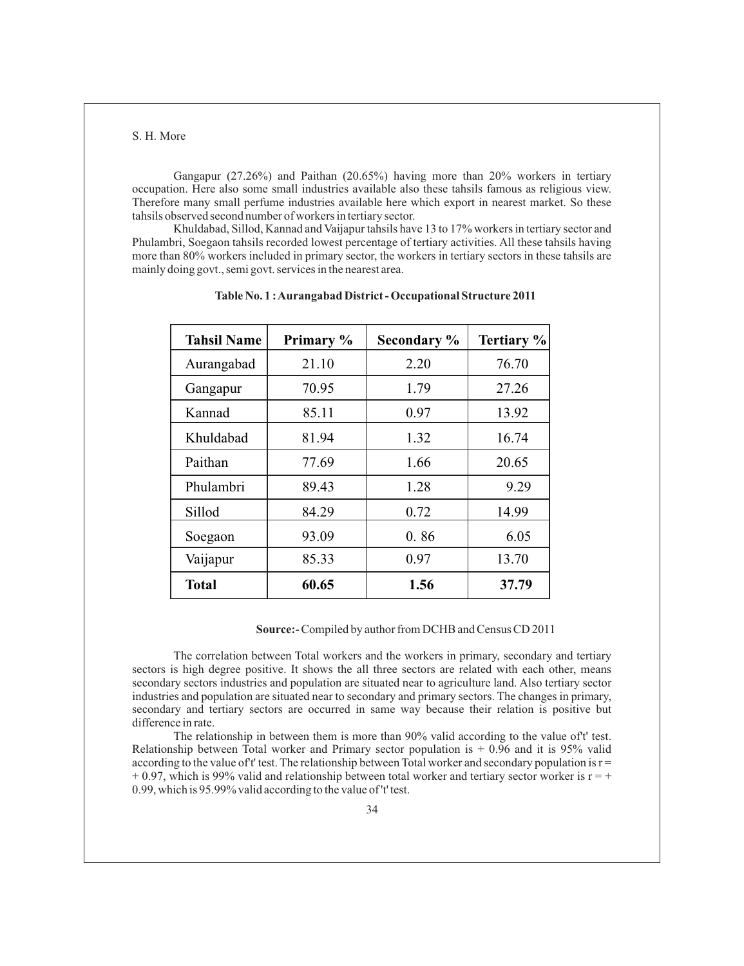S. H. More

Gangapur (27.26%) and Paithan (20.65%) having more than 20% workers in tertiary occupation. Here also some small industries available also these tahsils famous as religious view. Therefore many small perfume industries available here which export in nearest market. So these tahsils observed second number of workers in tertiary sector.

Khuldabad, Sillod, Kannad and Vaijapur tahsils have 13 to 17% workers in tertiary sector and Phulambri, Soegaon tahsils recorded lowest percentage of tertiary activities. All these tahsils having more than 80% workers included in primary sector, the workers in tertiary sectors in these tahsils are mainly doing govt., semi govt. services in the nearest area.

| <b>Tahsil Name</b> | Primary % | Secondary % | Tertiary % |
|--------------------|-----------|-------------|------------|
| Aurangabad         | 21.10     | 2.20        | 76.70      |
| Gangapur           | 70.95     | 1.79        | 27.26      |
| Kannad             | 85.11     | 0.97        | 13.92      |
| Khuldabad          | 81.94     | 1.32        | 16.74      |
| Paithan            | 77.69     | 1.66        | 20.65      |
| Phulambri          | 89.43     | 1.28        | 9.29       |
| Sillod             | 84.29     | 0.72        | 14.99      |
| Soegaon            | 93.09     | 0.86        | 6.05       |
| Vaijapur           | 85.33     | 0.97        | 13.70      |
| <b>Total</b>       | 60.65     | 1.56        | 37.79      |

**Table No. 1 : Aurangabad District - Occupational Structure 2011**

**Source:-** Compiled by author from DCHB and Census CD 2011

The correlation between Total workers and the workers in primary, secondary and tertiary sectors is high degree positive. It shows the all three sectors are related with each other, means secondary sectors industries and population are situated near to agriculture land. Also tertiary sector industries and population are situated near to secondary and primary sectors. The changes in primary, secondary and tertiary sectors are occurred in same way because their relation is positive but difference in rate.

The relationship in between them is more than 90% valid according to the value of't' test. Relationship between Total worker and Primary sector population is  $\pm 0.96$  and it is 95% valid according to the value of t' test. The relationship between Total worker and secondary population is  $r =$  $+ 0.97$ , which is 99% valid and relationship between total worker and tertiary sector worker is  $r = +$ 0.99, which is 95.99% valid according to the value of 't' test.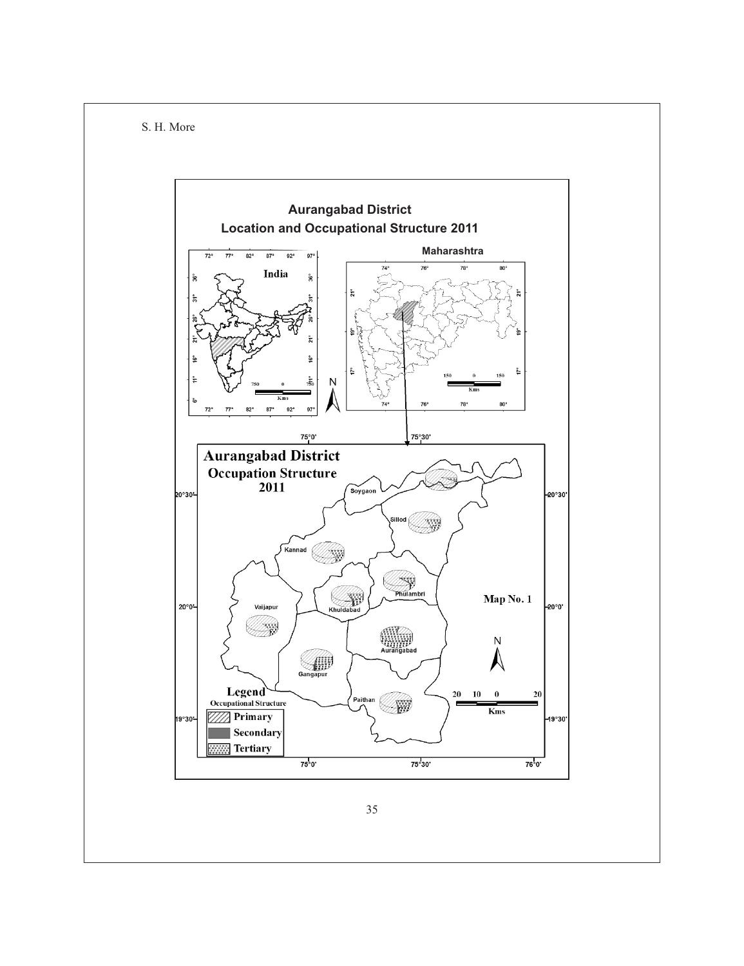

35